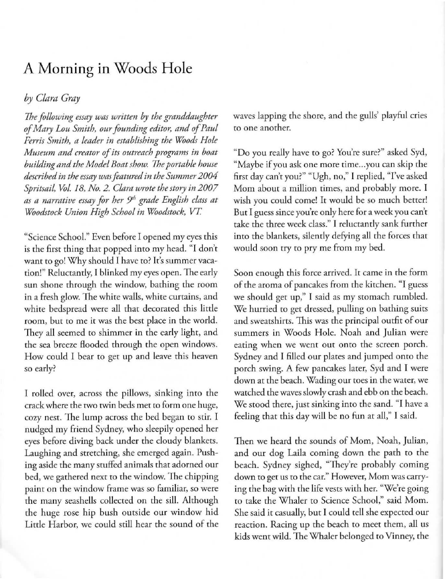## A **Morning in** Woods **Hole**

## *by Clara Gray*

*The following essay was written by the granddaughter of Mary LOll Smith, our founding editor, and of Paul Ferris Smith, a leader in establishing the Woods Hole Museum and creator of its outreach programs in boat building and the Model Boat show. The portable house described in the essay was featured in the Summer 2004 Spritsail, Vol.* 18, *No.2. Clora wrote the story in 2007 as a narrative essay for her 51" grade English closs at Woodstock Union High School in Woodstock, VT* 

"Science School." Even before I opened my eyes this is the first thing that popped into my head. "I don't want to go! Why should I have to? It's summer vacarion!" Reluctantly, T blinked my eyes open. The early sun shone through the window, bathing the room in a fresh glow. The white walls, whire cuttains, and white bedspread were all that decorated this litrle **room, but to me it was the best place in rhe world.**  They all seemed to shimmer in the early light, and the sea breeze flooded through the open windows. How could I bear to get up and leave this heaven so early?

I rolled over, across the pillows, sinking into the crack where the two twin beds met to form one huge, cozy nest. The lump across rhe bed began to stir. T nudged my friend Sydney, who sleepily opened her eyes before diving back under the cloudy blankets. Laughing and stretching, she emerged again. Pushing aside the many sruffed animals that adorned our bed, we gathered next to the window. The chipping **paint on rhe window frame was so familiar. so were**  the many seashells collected on the sill. Although the huge rose hip bush outside our window hid Little Harbor, we could still hear the sound of the waves lapping the shore, and the gulls' playful cries **co one another.** 

"Do you really have to go? You're sure?" asked Syd, "Maybe if you ask one more time...you can skip the first day can't you?" "Ugh, no," I replied, 'Tve asked Mom about a million times, and probably more. I wish you could come! It would be so much berter! But I guess since you're only here for a week you can't take the three week class." I reluctantly sank further into the blankets, silently defying all the forces that would soon try to pry me from my bed.

Soon enough this force arrived. It came in the form of the aroma of pancakes from the kitchen. "I guess we should get up," I said as my stomach rumbled. We hurried to get dressed, pulling on bathing suirs and sweatshirts. This was the principal outfir of our summers in Woods Hole. Noah and Julian were **eating when we went out onto the screen porch.**  Sydney and I filled our plates and jumped onto the porch swing. A few pancakes later, Syd and I were down at the beach. Wading our toes in the water, we watched the waves slowly crash and ebb on the beach. We stood there, just sinking into the sand. "I have a feeling that this day will be no fun at all," I said.

Then we heard the sounds of Mom, Noah, Julian, and our dog Laila coming down the path to the beach. Sydney sighed, "They're probably coming **down to get us to the car." However, Mom was carry**ing the bag with the life vests with her. "We're going to take the Whaler to Science School," said Mom. She said it casually, but I could tell she expected our reaction. Racing up the beach to meet them, all us kids went wild. The Whaler belonged to Vinney, the